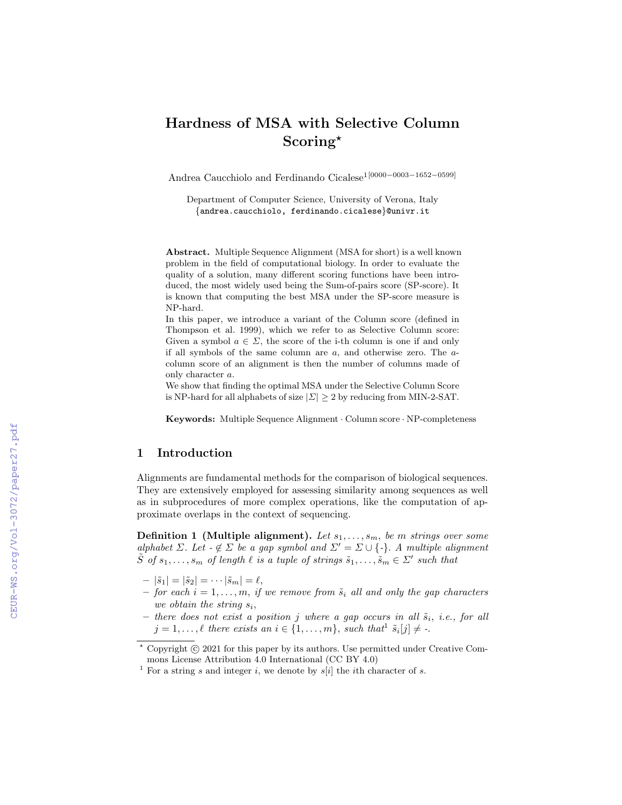# Hardness of MSA with Selective Column Scoring?

Andrea Caucchiolo and Ferdinando Cicalese<sup>1[0000−0003−1652−0599]</sup>

Department of Computer Science, University of Verona, Italy {andrea.caucchiolo, ferdinando.cicalese}@univr.it

Abstract. Multiple Sequence Alignment (MSA for short) is a well known problem in the field of computational biology. In order to evaluate the quality of a solution, many different scoring functions have been introduced, the most widely used being the Sum-of-pairs score (SP-score). It is known that computing the best MSA under the SP-score measure is NP-hard.

In this paper, we introduce a variant of the Column score (defined in Thompson et al. 1999), which we refer to as Selective Column score: Given a symbol  $a \in \Sigma$ , the score of the i-th column is one if and only if all symbols of the same column are  $a$ , and otherwise zero. The  $a$ column score of an alignment is then the number of columns made of only character a.

We show that finding the optimal MSA under the Selective Column Score is NP-hard for all alphabets of size  $|\Sigma| \geq 2$  by reducing from MIN-2-SAT.

Keywords: Multiple Sequence Alignment · Column score · NP-completeness

## 1 Introduction

Alignments are fundamental methods for the comparison of biological sequences. They are extensively employed for assessing similarity among sequences as well as in subprocedures of more complex operations, like the computation of approximate overlaps in the context of sequencing.

**Definition 1** (Multiple alignment). Let  $s_1, \ldots, s_m$ , be m strings over some alphabet  $\Sigma$ . Let  $-\notin \Sigma$  be a gap symbol and  $\Sigma' = \Sigma \cup \{\cdot\}$ . A multiple alignment  $\tilde{S}$  of  $s_1, \ldots, s_m$  of length  $\ell$  is a tuple of strings  $\tilde{s}_1, \ldots, \tilde{s}_m \in \Sigma'$  such that

- $|\tilde{s}_1| = |\tilde{s}_2| = \cdots |\tilde{s}_m| = \ell,$
- for each  $i = 1, \ldots, m$ , if we remove from  $\tilde{s}_i$  all and only the gap characters we obtain the string  $s_i$ ,
- $-$  there does not exist a position j where a gap occurs in all  $\tilde{s}_i$ , i.e., for all  $j = 1, \ldots, \ell$  there exists an  $i \in \{1, \ldots, m\}$ , such that<sup>1</sup>  $\tilde{s}_i[j] \neq \ldots$

 $*$  Copyright  $@$  2021 for this paper by its authors. Use permitted under Creative Commons License Attribution 4.0 International (CC BY 4.0)

<sup>&</sup>lt;sup>1</sup> For a string s and integer i, we denote by  $s[i]$  the ith character of s.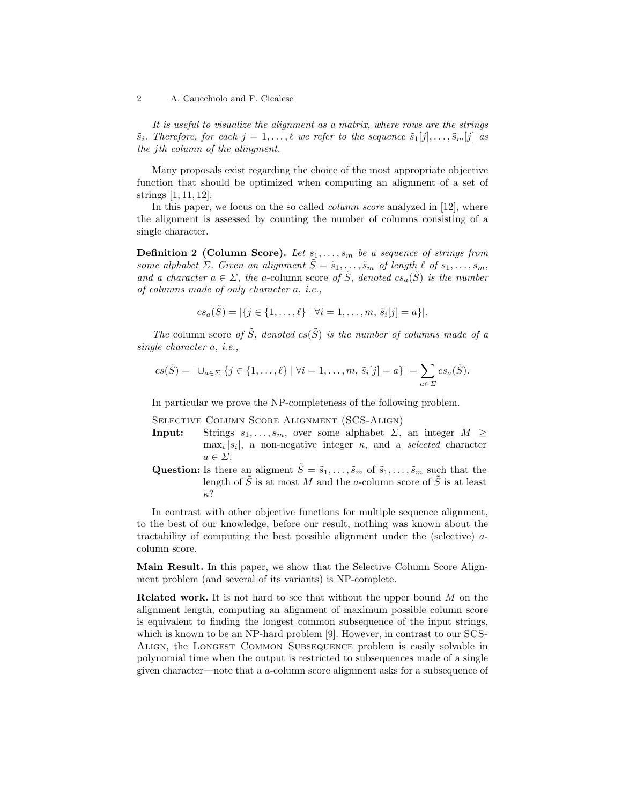It is useful to visualize the alignment as a matrix, where rows are the strings  $\tilde{s}_i$ . Therefore, for each  $j = 1, \ldots, \ell$  we refer to the sequence  $\tilde{s}_1[j], \ldots, \tilde{s}_m[j]$  as the jth column of the alingment.

Many proposals exist regarding the choice of the most appropriate objective function that should be optimized when computing an alignment of a set of strings [1, 11, 12].

In this paper, we focus on the so called *column score* analyzed in [12], where the alignment is assessed by counting the number of columns consisting of a single character.

**Definition 2 (Column Score).** Let  $s_1, \ldots, s_m$  be a sequence of strings from some alphabet  $\Sigma$ . Given an alignment  $\tilde{S} = \tilde{s}_1, \ldots, \tilde{s}_m$  of length  $\ell$  of  $s_1, \ldots, s_m$ , and a character  $a \in \Sigma$ , the a-column score of  $\tilde{S}$ , denoted  $cs_a(\tilde{S})$  is the number of columns made of only character a, i.e.,

$$
cs_a(\tilde{S}) = |\{j \in \{1, ..., \ell\} \mid \forall i = 1, ..., m, \tilde{s}_i[j] = a\}|.
$$

The column score of  $\tilde{S}$ , denoted  $cs(\tilde{S})$  is the number of columns made of a single character a, i.e.,

$$
cs(\tilde{S}) = |\cup_{a \in \Sigma} \{j \in \{1, \ldots, \ell\} \mid \forall i = 1, \ldots, m, \, \tilde{s}_i[j] = a\}| = \sum_{a \in \Sigma} cs_a(\tilde{S}).
$$

In particular we prove the NP-completeness of the following problem.

Selective Column Score Alignment (SCS-Align)

- **Input:** Strings  $s_1, \ldots, s_m$ , over some alphabet  $\Sigma$ , an integer  $M \geq$  $\max_i |s_i|$ , a non-negative integer  $\kappa$ , and a selected character  $a \in \Sigma$ .
- Question: Is there an aligment  $\tilde{S} = \tilde{s}_1, \ldots, \tilde{s}_m$  of  $\tilde{s}_1, \ldots, \tilde{s}_m$  such that the length of  $\tilde{S}$  is at most M and the a-column score of  $\tilde{S}$  is at least κ?

In contrast with other objective functions for multiple sequence alignment, to the best of our knowledge, before our result, nothing was known about the tractability of computing the best possible alignment under the (selective) acolumn score.

Main Result. In this paper, we show that the Selective Column Score Alignment problem (and several of its variants) is NP-complete.

Related work. It is not hard to see that without the upper bound  $M$  on the alignment length, computing an alignment of maximum possible column score is equivalent to finding the longest common subsequence of the input strings, which is known to be an NP-hard problem [9]. However, in contrast to our SCS-Align, the Longest Common Subsequence problem is easily solvable in polynomial time when the output is restricted to subsequences made of a single given character—note that a a-column score alignment asks for a subsequence of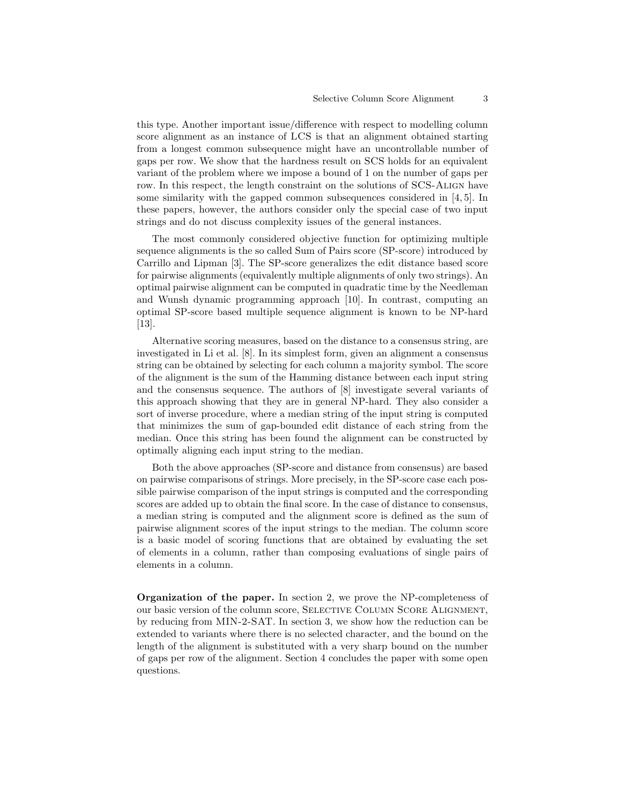this type. Another important issue/difference with respect to modelling column score alignment as an instance of LCS is that an alignment obtained starting from a longest common subsequence might have an uncontrollable number of gaps per row. We show that the hardness result on SCS holds for an equivalent variant of the problem where we impose a bound of 1 on the number of gaps per row. In this respect, the length constraint on the solutions of SCS-ALIGN have some similarity with the gapped common subsequences considered in [4, 5]. In these papers, however, the authors consider only the special case of two input strings and do not discuss complexity issues of the general instances.

The most commonly considered objective function for optimizing multiple sequence alignments is the so called Sum of Pairs score (SP-score) introduced by Carrillo and Lipman [3]. The SP-score generalizes the edit distance based score for pairwise alignments (equivalently multiple alignments of only two strings). An optimal pairwise alignment can be computed in quadratic time by the Needleman and Wunsh dynamic programming approach [10]. In contrast, computing an optimal SP-score based multiple sequence alignment is known to be NP-hard [13].

Alternative scoring measures, based on the distance to a consensus string, are investigated in Li et al. [8]. In its simplest form, given an alignment a consensus string can be obtained by selecting for each column a majority symbol. The score of the alignment is the sum of the Hamming distance between each input string and the consensus sequence. The authors of [8] investigate several variants of this approach showing that they are in general NP-hard. They also consider a sort of inverse procedure, where a median string of the input string is computed that minimizes the sum of gap-bounded edit distance of each string from the median. Once this string has been found the alignment can be constructed by optimally aligning each input string to the median.

Both the above approaches (SP-score and distance from consensus) are based on pairwise comparisons of strings. More precisely, in the SP-score case each possible pairwise comparison of the input strings is computed and the corresponding scores are added up to obtain the final score. In the case of distance to consensus, a median string is computed and the alignment score is defined as the sum of pairwise alignment scores of the input strings to the median. The column score is a basic model of scoring functions that are obtained by evaluating the set of elements in a column, rather than composing evaluations of single pairs of elements in a column.

Organization of the paper. In section 2, we prove the NP-completeness of our basic version of the column score, SELECTIVE COLUMN SCORE ALIGNMENT, by reducing from MIN-2-SAT. In section 3, we show how the reduction can be extended to variants where there is no selected character, and the bound on the length of the alignment is substituted with a very sharp bound on the number of gaps per row of the alignment. Section 4 concludes the paper with some open questions.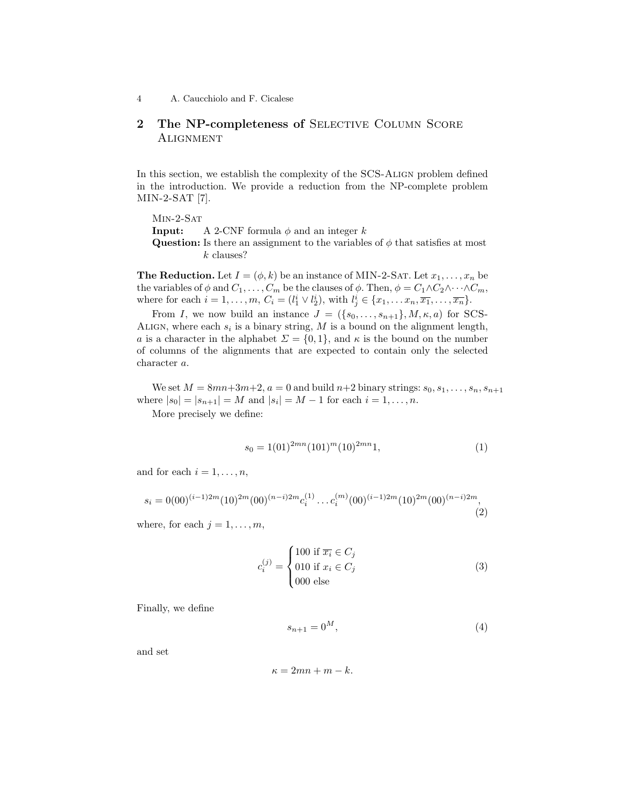# 2 The NP-completeness of SELECTIVE COLUMN SCORE **ALIGNMENT**

In this section, we establish the complexity of the SCS-Align problem defined in the introduction. We provide a reduction from the NP-complete problem MIN-2-SAT [7].

Min-2-Sat **Input:** A 2-CNF formula  $\phi$  and an integer k **Question:** Is there an assignment to the variables of  $\phi$  that satisfies at most k clauses?

**The Reduction.** Let  $I = (\phi, k)$  be an instance of MIN-2-SAT. Let  $x_1, \ldots, x_n$  be the variables of  $\phi$  and  $C_1, \ldots, C_m$  be the clauses of  $\phi$ . Then,  $\phi = C_1 \wedge C_2 \wedge \cdots \wedge C_m$ , where for each  $i = 1, \ldots, m$ ,  $C_i = (l_1^i \vee l_2^i)$ , with  $l_j^i \in \{x_1, \ldots, x_n, \overline{x_1}, \ldots, \overline{x_n}\}.$ 

From I, we now build an instance  $J = (\{s_0, \ldots, s_{n+1}\}, M, \kappa, a)$  for SCS-ALIGN, where each  $s_i$  is a binary string, M is a bound on the alignment length, a is a character in the alphabet  $\Sigma = \{0,1\}$ , and  $\kappa$  is the bound on the number of columns of the alignments that are expected to contain only the selected character a.

We set  $M = 8mn+3m+2$ ,  $a = 0$  and build  $n+2$  binary strings:  $s_0, s_1, \ldots, s_n, s_{n+1}$ where  $|s_0| = |s_{n+1}| = M$  and  $|s_i| = M - 1$  for each  $i = 1, ..., n$ .

More precisely we define:

$$
s_0 = 1(01)^{2mn}(101)^m(10)^{2mn}1,\t\t(1)
$$

and for each  $i = 1, \ldots, n$ ,

$$
s_i = 0(00)^{(i-1)2m}(10)^{2m}(00)^{(n-i)2m}c_i^{(1)}\dots c_i^{(m)}(00)^{(i-1)2m}(10)^{2m}(00)^{(n-i)2m},
$$
\n(2)

where, for each  $j = 1, \ldots, m$ ,

$$
c_i^{(j)} = \begin{cases} 100 \text{ if } \overline{x_i} \in C_j \\ 010 \text{ if } x_i \in C_j \\ 000 \text{ else} \end{cases}
$$
 (3)

Finally, we define

$$
s_{n+1} = 0^M,\t\t(4)
$$

and set

$$
\kappa = 2mn + m - k.
$$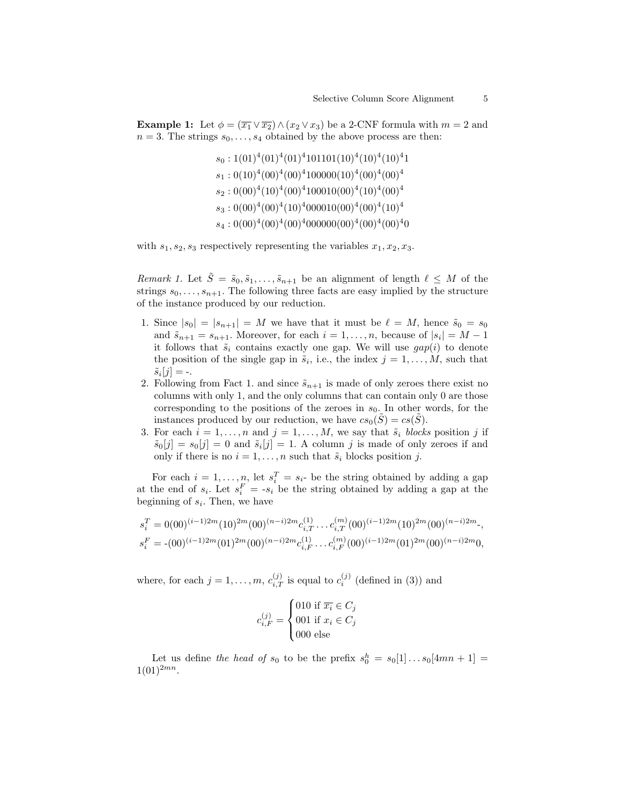**Example 1:** Let  $\phi = (\overline{x_1} \vee \overline{x_2}) \wedge (x_2 \vee x_3)$  be a 2-CNF formula with  $m = 2$  and  $n = 3$ . The strings  $s_0, \ldots, s_4$  obtained by the above process are then:

$$
s_0: 1(01)^4(01)^4(01)^4101101(10)^4(10)^4(10)^41
$$
  
\n
$$
s_1: 0(10)^4(00)^4(00)^4100000(10)^4(00)^4(00)^4
$$
  
\n
$$
s_2: 0(00)^4(10)^4(00)^4100010(00)^4(10)^4(00)^4
$$
  
\n
$$
s_3: 0(00)^4(00)^4(10)^4000010(00)^4(00)^4(10)^4
$$
  
\n
$$
s_4: 0(00)^4(00)^4(00)^4000000(00)^4(00)^4(00)^40
$$

with  $s_1, s_2, s_3$  respectively representing the variables  $x_1, x_2, x_3$ .

Remark 1. Let  $\tilde{S} = \tilde{s}_0, \tilde{s}_1, \ldots, \tilde{s}_{n+1}$  be an alignment of length  $\ell \leq M$  of the strings  $s_0, \ldots, s_{n+1}$ . The following three facts are easy implied by the structure of the instance produced by our reduction.

- 1. Since  $|s_0| = |s_{n+1}| = M$  we have that it must be  $\ell = M$ , hence  $\tilde{s}_0 = s_0$ and  $\tilde{s}_{n+1} = s_{n+1}$ . Moreover, for each  $i = 1, \ldots, n$ , because of  $|s_i| = M - 1$ it follows that  $\tilde{s}_i$  contains exactly one gap. We will use  $gap(i)$  to denote the position of the single gap in  $\tilde{s}_i$ , i.e., the index  $j = 1, \ldots, M$ , such that  $s_i[j] = -$ .
- 2. Following from Fact 1. and since  $\tilde{s}_{n+1}$  is made of only zeroes there exist no columns with only 1, and the only columns that can contain only 0 are those corresponding to the positions of the zeroes in  $s_0$ . In other words, for the instances produced by our reduction, we have  $cs_0(\tilde{S}) = cs(\tilde{S})$ .
- 3. For each  $i = 1, \ldots, n$  and  $j = 1, \ldots, M$ , we say that  $\tilde{s}_i$  blocks position j if  $\tilde{s}_0[j] = s_0[j] = 0$  and  $\tilde{s}_i[j] = 1$ . A column j is made of only zeroes if and only if there is no  $i = 1, ..., n$  such that  $\tilde{s}_i$  blocks position j.

For each  $i = 1, \ldots, n$ , let  $s_i^T = s_i$ - be the string obtained by adding a gap at the end of  $s_i$ . Let  $s_i^F = -s_i$  be the string obtained by adding a gap at the beginning of  $s_i$ . Then, we have

$$
s_i^T = 0(00)^{(i-1)2m}(10)^{2m}(00)^{(n-i)2m}c_{i,T}^{(1)}\dots c_{i,T}^{(m)}(00)^{(i-1)2m}(10)^{2m}(00)^{(n-i)2m},
$$
  
\n
$$
s_i^F = -(00)^{(i-1)2m}(01)^{2m}(00)^{(n-i)2m}c_{i,F}^{(1)}\dots c_{i,F}^{(m)}(00)^{(i-1)2m}(01)^{2m}(00)^{(n-i)2m}0,
$$

where, for each  $j = 1, \ldots, m, c_{i,T}^{(j)}$  is equal to  $c_i^{(j)}$  (defined in (3)) and

$$
c_{i,F}^{(j)} = \begin{cases} 010 \text{ if } \overline{x_i} \in C_j \\ 001 \text{ if } x_i \in C_j \\ 000 \text{ else} \end{cases}
$$

Let us define the head of  $s_0$  to be the prefix  $s_0^h = s_0[1] \dots s_0[4mn + 1] =$  $1(01)^{2mn}$ .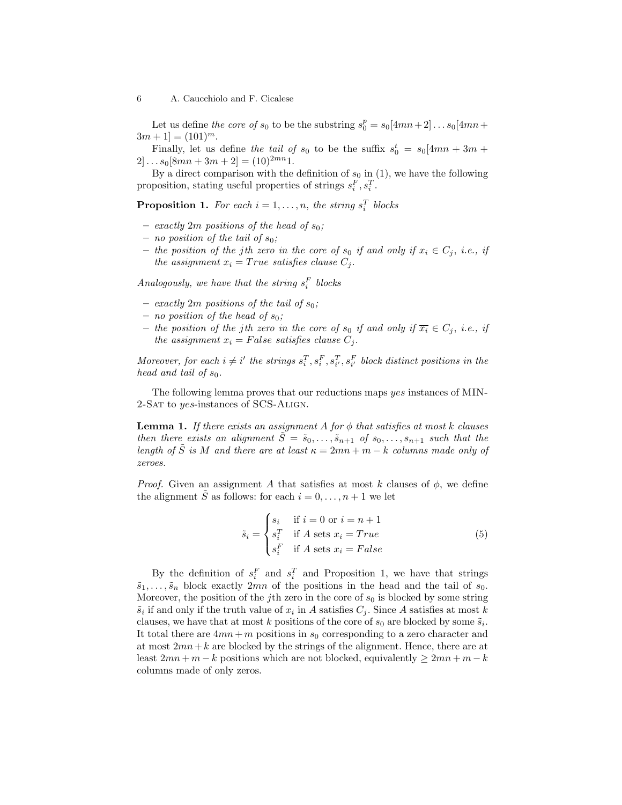Let us define the core of  $s_0$  to be the substring  $s_0^p = s_0[4mn+2] \dots s_0[4mn+$  $3m + 1 = (101)^m$ .

Finally, let us define the tail of  $s_0$  to be the suffix  $s_0^t = s_0[4mn + 3m +$  $2 \mid \ldots s_0[8mn + 3m + 2] = (10)^{2mn}1.$ 

By a direct comparison with the definition of  $s_0$  in (1), we have the following proposition, stating useful properties of strings  $s_i^F, s_i^T$ .

**Proposition 1.** For each  $i = 1, ..., n$ , the string  $s_i^T$  blocks

- exactly 2m positions of the head of  $s_0$ ;
- no position of the tail of  $s_0$ ;
- the position of the jth zero in the core of  $s_0$  if and only if  $x_i \in C_j$ , i.e., if the assignment  $x_i = True$  satisfies clause  $C_i$ .

Analogously, we have that the string  $s_i^F$  blocks

- exactly 2m positions of the tail of  $s_0$ ;
- no position of the head of  $s_0$ ;
- the position of the j<sup>th</sup> zero in the core of s<sub>0</sub> if and only if  $\overline{x_i}$  ∈  $C_j$ , i.e., if the assignment  $x_i = False$  satisfies clause  $C_i$ .

Moreover, for each  $i \neq i'$  the strings  $s_i^T, s_i^F, s_{i'}^T, s_{i'}^F$  block distinct positions in the head and tail of  $s_0$ .

The following lemma proves that our reductions maps yes instances of MIN-2-Sat to yes-instances of SCS-Align.

**Lemma 1.** If there exists an assignment A for  $\phi$  that satisfies at most k clauses then there exists an alignment  $\tilde{S} = \tilde{s}_0, \ldots, \tilde{s}_{n+1}$  of  $s_0, \ldots, s_{n+1}$  such that the length of  $\tilde{S}$  is M and there are at least  $\kappa = 2mn + m - k$  columns made only of zeroes.

*Proof.* Given an assignment A that satisfies at most k clauses of  $\phi$ , we define the alignment  $\tilde{S}$  as follows: for each  $i = 0, \ldots, n + 1$  we let

$$
\tilde{s}_i = \begin{cases}\ns_i & \text{if } i = 0 \text{ or } i = n + 1 \\
s_i^T & \text{if } A \text{ sets } x_i = True \\
s_i^F & \text{if } A \text{ sets } x_i = False\n\end{cases}
$$
\n(5)

By the definition of  $s_i^F$  and  $s_i^T$  and Proposition 1, we have that strings  $\tilde{s}_1, \ldots, \tilde{s}_n$  block exactly 2mn of the positions in the head and the tail of  $s_0$ . Moreover, the position of the jth zero in the core of  $s_0$  is blocked by some string  $\tilde{s}_i$  if and only if the truth value of  $x_i$  in A satisfies  $C_j$ . Since A satisfies at most k clauses, we have that at most k positions of the core of  $s_0$  are blocked by some  $\tilde{s}_i$ . It total there are  $4mn+m$  positions in  $s_0$  corresponding to a zero character and at most  $2mn+k$  are blocked by the strings of the alignment. Hence, there are at least  $2mn + m - k$  positions which are not blocked, equivalently  $\geq 2mn + m - k$ columns made of only zeros.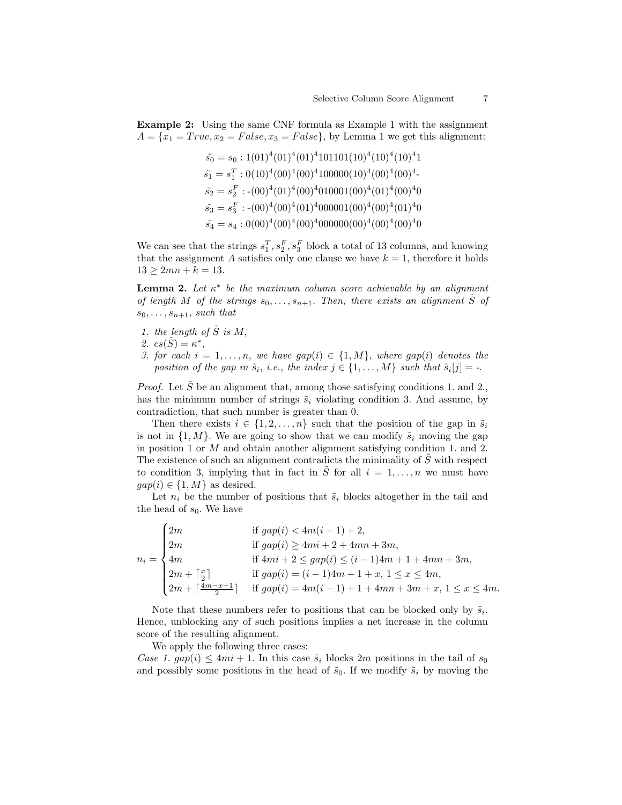Example 2: Using the same CNF formula as Example 1 with the assignment  $A = \{x_1 = True, x_2 = False, x_3 = False\}$ , by Lemma 1 we get this alignment:

$$
\tilde{s}_0 = s_0 : 1(01)^4 (01)^4 (01)^4 101101 (10)^4 (10)^4 (10)^4 1
$$
\n
$$
\tilde{s}_1 = s_1^T : 0(10)^4 (00)^4 (00)^4 100000 (10)^4 (00)^4 (00)^4
$$
\n
$$
\tilde{s}_2 = s_2^F : -(00)^4 (01)^4 (00)^4 010001 (00)^4 (01)^4 (00)^4 0
$$
\n
$$
\tilde{s}_3 = s_3^F : -(00)^4 (00)^4 (01)^4 000001 (00)^4 (01)^4 0
$$
\n
$$
\tilde{s}_4 = s_4 : 0(00)^4 (00)^4 (00)^4 000000 (00)^4 (00)^4 (00)^4 0
$$

We can see that the strings  $s_1^T, s_2^F, s_3^F$  block a total of 13 columns, and knowing that the assignment A satisfies only one clause we have  $k = 1$ , therefore it holds  $13 > 2mn + k = 13.$ 

**Lemma 2.** Let  $\kappa^*$  be the maximum column score achievable by an alignment of length M of the strings  $s_0, \ldots, s_{n+1}$ . Then, there exists an alignment S of  $s_0, \ldots, s_{n+1}$ , such that

- 1. the length of  $\tilde{S}$  is M,
- 2.  $cs(\tilde{S}) = \kappa^*$ ,
- 3. for each  $i = 1, \ldots, n$ , we have  $gap(i) \in \{1, M\}$ , where  $gap(i)$  denotes the position of the gap in  $\tilde{s}_i$ , i.e., the index  $j \in \{1, ..., M\}$  such that  $\tilde{s}_i[j] = -1$ .

*Proof.* Let  $\hat{S}$  be an alignment that, among those satisfying conditions 1. and 2. has the minimum number of strings  $\tilde{s}_i$  violating condition 3. And assume, by contradiction, that such number is greater than 0.

Then there exists  $i \in \{1, 2, ..., n\}$  such that the position of the gap in  $\tilde{s}_i$ is not in  $\{1, M\}$ . We are going to show that we can modify  $\tilde{s}_i$  moving the gap in position 1 or M and obtain another alignment satisfying condition 1. and 2. The existence of such an alignment contradicts the minimality of  $\tilde{S}$  with respect to condition 3, implying that in fact in S for all  $i = 1, \ldots, n$  we must have  $gap(i) \in \{1, M\}$  as desired.

Let  $n_i$  be the number of positions that  $\tilde{s}_i$  blocks altogether in the tail and the head of  $s_0$ . We have

$$
n_{i} = \begin{cases} 2m & \text{if } gap(i) < 4m(i-1) + 2, \\ 2m & \text{if } gap(i) \ge 4mi + 2 + 4mn + 3m, \\ 4m & \text{if } 4mi + 2 \le gap(i) \le (i-1)4m + 1 + 4mn + 3m, \\ 2m + \lceil \frac{x}{2} \rceil & \text{if } gap(i) = (i-1)4m + 1 + x, 1 \le x \le 4m, \\ 2m + \lceil \frac{4m - x + 1}{2} \rceil & \text{if } gap(i) = 4m(i-1) + 1 + 4mn + 3m + x, 1 \le x \le 4m. \end{cases}
$$

Note that these numbers refer to positions that can be blocked only by  $\tilde{s}_i$ . Hence, unblocking any of such positions implies a net increase in the column score of the resulting alignment.

We apply the following three cases:

Case 1.  $gap(i) \leq 4mi + 1$ . In this case  $\tilde{s}_i$  blocks 2m positions in the tail of  $s_0$ and possibly some positions in the head of  $\tilde{s}_0$ . If we modify  $\tilde{s}_i$  by moving the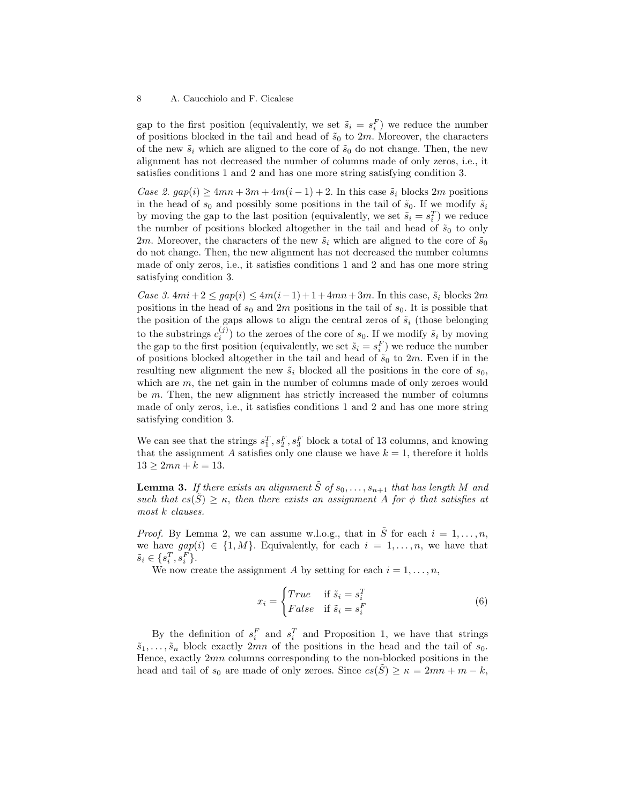gap to the first position (equivalently, we set  $\tilde{s}_i = s_i^F$ ) we reduce the number of positions blocked in the tail and head of  $\tilde{s}_0$  to  $2m$ . Moreover, the characters of the new  $\tilde{s}_i$  which are aligned to the core of  $\tilde{s}_0$  do not change. Then, the new alignment has not decreased the number of columns made of only zeros, i.e., it satisfies conditions 1 and 2 and has one more string satisfying condition 3.

Case 2.  $gap(i) \geq 4mn + 3m + 4m(i-1) + 2$ . In this case  $\tilde{s}_i$  blocks  $2m$  positions in the head of  $s_0$  and possibly some positions in the tail of  $\tilde{s}_0$ . If we modify  $\tilde{s}_i$ by moving the gap to the last position (equivalently, we set  $\tilde{s}_i = s_i^T$ ) we reduce the number of positions blocked altogether in the tail and head of  $\tilde{s}_0$  to only 2m. Moreover, the characters of the new  $\tilde{s}_i$  which are aligned to the core of  $\tilde{s}_0$ do not change. Then, the new alignment has not decreased the number columns made of only zeros, i.e., it satisfies conditions 1 and 2 and has one more string satisfying condition 3.

*Case 3.*  $4mi + 2 \leq gap(i) \leq 4m(i-1) + 1 + 4mn + 3m$ . In this case,  $\tilde{s}_i$  blocks 2m positions in the head of  $s_0$  and  $2m$  positions in the tail of  $s_0$ . It is possible that the position of the gaps allows to align the central zeros of  $\tilde{s}_i$  (those belonging to the substrings  $c_i^{(j)}$  to the zeroes of the core of  $s_0$ . If we modify  $\tilde{s}_i$  by moving the gap to the first position (equivalently, we set  $\tilde{s}_i = s_i^F$ ) we reduce the number of positions blocked altogether in the tail and head of  $\tilde{s}_0$  to  $2m$ . Even if in the resulting new alignment the new  $\tilde{s}_i$  blocked all the positions in the core of  $s_0$ , which are  $m$ , the net gain in the number of columns made of only zeroes would be m. Then, the new alignment has strictly increased the number of columns made of only zeros, i.e., it satisfies conditions 1 and 2 and has one more string satisfying condition 3.

We can see that the strings  $s_1^T, s_2^F, s_3^F$  block a total of 13 columns, and knowing that the assignment A satisfies only one clause we have  $k = 1$ , therefore it holds  $13 \geq 2mn + k = 13.$ 

**Lemma 3.** If there exists an alignment  $\tilde{S}$  of  $s_0, \ldots, s_{n+1}$  that has length M and such that  $cs(\tilde{S}) \geq \kappa$ , then there exists an assignment A for  $\phi$  that satisfies at most k clauses.

*Proof.* By Lemma 2, we can assume w.l.o.g., that in  $\tilde{S}$  for each  $i = 1, \ldots, n$ , we have  $gap(i) \in \{1, M\}$ . Equivalently, for each  $i = 1, \ldots, n$ , we have that  $\tilde{s}_i \in \{s_i^T, s_i^F\}.$ 

We now create the assignment A by setting for each  $i = 1, \ldots, n$ ,

$$
x_i = \begin{cases} True & \text{if } \tilde{s}_i = s_i^T \\ False & \text{if } \tilde{s}_i = s_i^F \end{cases}
$$
 (6)

By the definition of  $s_i^F$  and  $s_i^T$  and Proposition 1, we have that strings  $\tilde{s}_1, \ldots, \tilde{s}_n$  block exactly  $2mn$  of the positions in the head and the tail of  $s_0$ . Hence, exactly 2mn columns corresponding to the non-blocked positions in the head and tail of  $s_0$  are made of only zeroes. Since  $cs(S) \ge \kappa = 2mn + m - k$ ,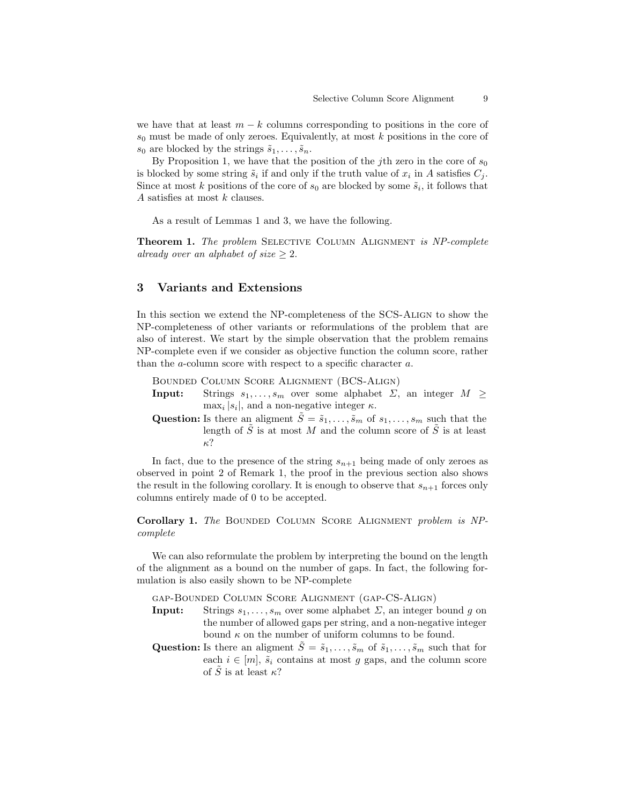we have that at least  $m - k$  columns corresponding to positions in the core of  $s_0$  must be made of only zeroes. Equivalently, at most k positions in the core of  $s_0$  are blocked by the strings  $\tilde{s}_1, \ldots, \tilde{s}_n$ .

By Proposition 1, we have that the position of the jth zero in the core of  $s_0$ is blocked by some string  $\tilde{s}_i$  if and only if the truth value of  $x_i$  in A satisfies  $C_j$ . Since at most k positions of the core of  $s_0$  are blocked by some  $\tilde{s}_i$ , it follows that A satisfies at most k clauses.

As a result of Lemmas 1 and 3, we have the following.

Theorem 1. The problem SELECTIVE COLUMN ALIGNMENT is NP-complete already over an alphabet of size  $\geq 2$ .

### 3 Variants and Extensions

In this section we extend the NP-completeness of the SCS-Align to show the NP-completeness of other variants or reformulations of the problem that are also of interest. We start by the simple observation that the problem remains NP-complete even if we consider as objective function the column score, rather than the a-column score with respect to a specific character a.

Bounded Column Score Alignment (BCS-Align)

- **Input:** Strings  $s_1, \ldots, s_m$  over some alphabet  $\Sigma$ , an integer  $M \geq$  $\max_i |s_i|$ , and a non-negative integer  $\kappa$ .
- Question: Is there an aligment  $\tilde{S} = \tilde{s}_1, \ldots, \tilde{s}_m$  of  $s_1, \ldots, s_m$  such that the length of  $\tilde{S}$  is at most M and the column score of  $\tilde{S}$  is at least κ?

In fact, due to the presence of the string  $s_{n+1}$  being made of only zeroes as observed in point 2 of Remark 1, the proof in the previous section also shows the result in the following corollary. It is enough to observe that  $s_{n+1}$  forces only columns entirely made of 0 to be accepted.

Corollary 1. The BOUNDED COLUMN SCORE ALIGNMENT problem is NPcomplete

We can also reformulate the problem by interpreting the bound on the length of the alignment as a bound on the number of gaps. In fact, the following formulation is also easily shown to be NP-complete

gap-Bounded Column Score Alignment (gap-CS-Align)

- **Input:** Strings  $s_1, \ldots, s_m$  over some alphabet  $\Sigma$ , an integer bound g on the number of allowed gaps per string, and a non-negative integer bound  $\kappa$  on the number of uniform columns to be found.
- Question: Is there an aligment  $\tilde{S} = \tilde{s}_1, \ldots, \tilde{s}_m$  of  $\tilde{s}_1, \ldots, \tilde{s}_m$  such that for each  $i \in [m], \tilde{s}_i$  contains at most g gaps, and the column score of  $\tilde{S}$  is at least  $\kappa$ ?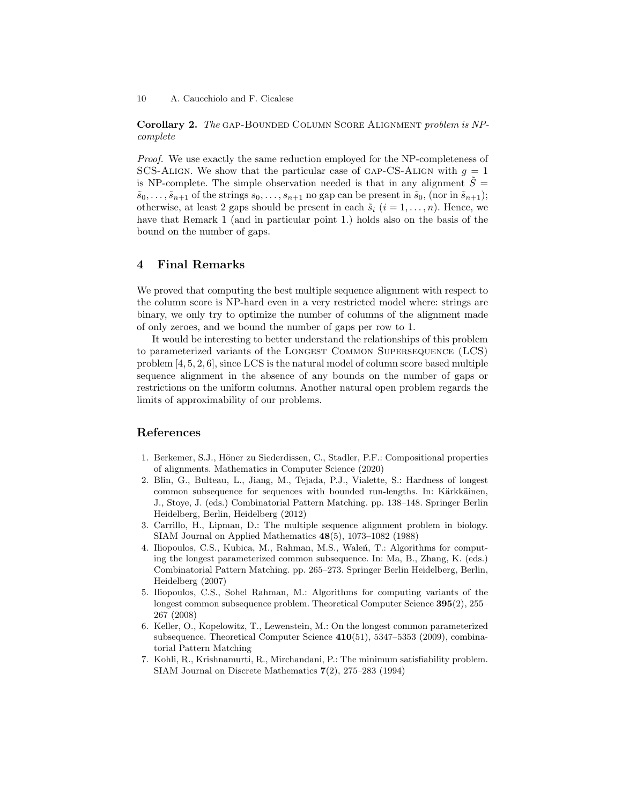Corollary 2. The GAP-BOUNDED COLUMN SCORE ALIGNMENT problem is NPcomplete

Proof. We use exactly the same reduction employed for the NP-completeness of SCS-ALIGN. We show that the particular case of GAP-CS-ALIGN with  $q = 1$ is NP-complete. The simple observation needed is that in any alignment  $\tilde{S} =$  $\tilde{s}_0, \ldots, \tilde{s}_{n+1}$  of the strings  $s_0, \ldots, s_{n+1}$  no gap can be present in  $\tilde{s}_0$ , (nor in  $\tilde{s}_{n+1}$ ); otherwise, at least 2 gaps should be present in each  $\tilde{s}_i$   $(i = 1, \ldots, n)$ . Hence, we have that Remark 1 (and in particular point 1.) holds also on the basis of the bound on the number of gaps.

# 4 Final Remarks

We proved that computing the best multiple sequence alignment with respect to the column score is NP-hard even in a very restricted model where: strings are binary, we only try to optimize the number of columns of the alignment made of only zeroes, and we bound the number of gaps per row to 1.

It would be interesting to better understand the relationships of this problem to parameterized variants of the Longest Common Supersequence (LCS) problem [4, 5, 2, 6], since LCS is the natural model of column score based multiple sequence alignment in the absence of any bounds on the number of gaps or restrictions on the uniform columns. Another natural open problem regards the limits of approximability of our problems.

# References

- 1. Berkemer, S.J., Höner zu Siederdissen, C., Stadler, P.F.: Compositional properties of alignments. Mathematics in Computer Science (2020)
- 2. Blin, G., Bulteau, L., Jiang, M., Tejada, P.J., Vialette, S.: Hardness of longest common subsequence for sequences with bounded run-lengths. In: Kärkkäinen, J., Stoye, J. (eds.) Combinatorial Pattern Matching. pp. 138–148. Springer Berlin Heidelberg, Berlin, Heidelberg (2012)
- 3. Carrillo, H., Lipman, D.: The multiple sequence alignment problem in biology. SIAM Journal on Applied Mathematics 48(5), 1073–1082 (1988)
- 4. Iliopoulos, C.S., Kubica, M., Rahman, M.S., Waleń, T.: Algorithms for computing the longest parameterized common subsequence. In: Ma, B., Zhang, K. (eds.) Combinatorial Pattern Matching. pp. 265–273. Springer Berlin Heidelberg, Berlin, Heidelberg (2007)
- 5. Iliopoulos, C.S., Sohel Rahman, M.: Algorithms for computing variants of the longest common subsequence problem. Theoretical Computer Science 395(2), 255– 267 (2008)
- 6. Keller, O., Kopelowitz, T., Lewenstein, M.: On the longest common parameterized subsequence. Theoretical Computer Science  $410(51)$ , 5347–5353 (2009), combinatorial Pattern Matching
- 7. Kohli, R., Krishnamurti, R., Mirchandani, P.: The minimum satisfiability problem. SIAM Journal on Discrete Mathematics 7(2), 275–283 (1994)